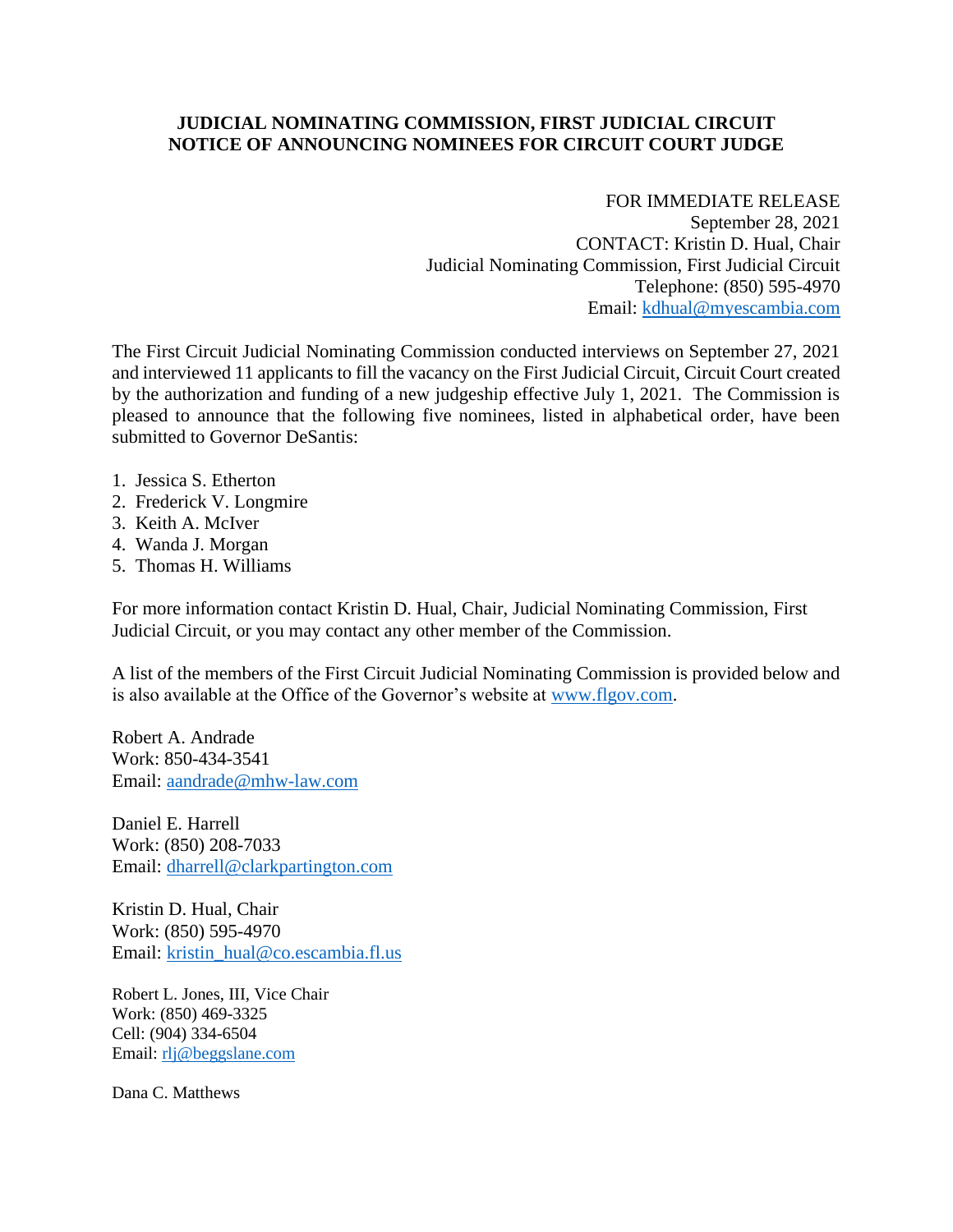## **JUDICIAL NOMINATING COMMISSION, FIRST JUDICIAL CIRCUIT NOTICE OF ANNOUNCING NOMINEES FOR CIRCUIT COURT JUDGE**

## FOR IMMEDIATE RELEASE

September 28, 2021 CONTACT: Kristin D. Hual, Chair Judicial Nominating Commission, First Judicial Circuit Telephone: (850) 595-4970 Email: [kdhual@myescambia.com](mailto:kdhual@myescambia.com)

The First Circuit Judicial Nominating Commission conducted interviews on September 27, 2021 and interviewed 11 applicants to fill the vacancy on the First Judicial Circuit, Circuit Court created by the authorization and funding of a new judgeship effective July 1, 2021. The Commission is pleased to announce that the following five nominees, listed in alphabetical order, have been submitted to Governor DeSantis:

- 1. Jessica S. Etherton
- 2. Frederick V. Longmire
- 3. Keith A. McIver
- 4. Wanda J. Morgan
- 5. Thomas H. Williams

For more information contact Kristin D. Hual, Chair, Judicial Nominating Commission, First Judicial Circuit, or you may contact any other member of the Commission.

A list of the members of the First Circuit Judicial Nominating Commission is provided below and is also available at the Office of the Governor's website at [www.flgov.com.](http://www.flgov.com/)

Robert A. Andrade Work: 850-434-3541 Email: [aandrade@mhw-law.com](mailto:aandrade@mhw-law.com)

Daniel E. Harrell Work: (850) 208-7033 Email: [dharrell@clarkpartington.com](mailto:dharrell@clarkpartington.com)

Kristin D. Hual, Chair Work: (850) 595-4970 Email: [kristin\\_hual@co.escambia.fl.us](mailto:kristin_hual@co.escambia.fl.us)

Robert L. Jones, III, Vice Chair Work: (850) 469-3325 Cell: (904) 334-6504 Email: [rlj@beggslane.com](mailto:rlj@beggslane.com)

Dana C. Matthews